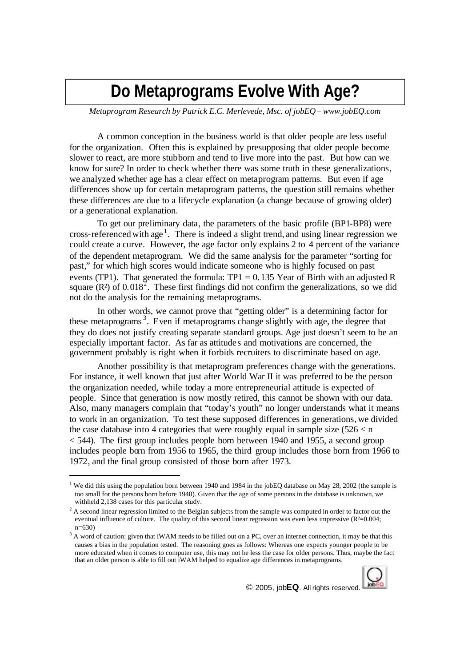## **Do Metaprograms Evolve With Age?**

*Metaprogram Research by Patrick E.C. Merlevede, Msc. of jobEQ – www.jobEQ.com*

A common conception in the business world is that older people are less useful for the organization. Often this is explained by presupposing that older people become slower to react, are more stubborn and tend to live more into the past. But how can we know for sure? In order to check whether there was some truth in these generalizations, we analyzed whether age has a clear effect on metaprogram patterns. But even if age differences show up for certain metaprogram patterns, the question still remains whether these differences are due to a lifecycle explanation (a change because of growing older) or a generational explanation.

To get our preliminary data, the parameters of the basic profile (BP1-BP8) were cross-referenced with age<sup>1</sup>. There is indeed a slight trend, and using linear regression we could create a curve. However, the age factor only explains 2 to 4 percent of the variance of the dependent metaprogram. We did the same analysis for the parameter "sorting for past," for which high scores would indicate someone who is highly focused on past events (TP1). That generated the formula:  $TP1 = 0.135$  Year of Birth with an adjusted R square  $(R^2)$  of 0.018<sup>2</sup>. These first findings did not confirm the generalizations, so we did not do the analysis for the remaining metaprograms.

In other words, we cannot prove that "getting older" is a determining factor for these metaprograms<sup>3</sup>. Even if metaprograms change slightly with age, the degree that they do does not justify creating separate standard groups. Age just doesn't seem to be an especially important factor. As far as attitude s and motivations are concerned, the government probably is right when it forbids recruiters to discriminate based on age.

Another possibility is that metaprogram preferences change with the generations. For instance, it well known that just after World War II it was preferred to be the person the organization needed, while today a more entrepreneurial attitude is expected of people. Since that generation is now mostly retired, this cannot be shown with our data. Also, many managers complain that "today's youth" no longer understands what it means to work in an organization. To test these supposed differences in generations, we divided the case database into 4 categories that were roughly equal in sample size  $(526 < n)$  $<$  544). The first group includes people born between 1940 and 1955, a second group includes people born from 1956 to 1965, the third group includes those born from 1966 to 1972, and the final group consisted of those born after 1973.

 $3$  A word of caution: given that iWAM needs to be filled out on a PC, over an internet connection, it may be that this causes a bias in the population tested. The reasoning goes as follows: Whereas one expects younger people to be more educated when it comes to computer use, this may not be less the case for older persons. Thus, maybe the fact that an older person is able to fill out iWAM helped to equalize age differences in metaprograms.



© 2005, job**EQ**. All rights reserved.

<sup>&</sup>lt;sup>1</sup> We did this using the population born between 1940 and 1984 in the jobEQ database on May 28, 2002 (the sample is too small for the persons born before 1940). Given that the age of some persons in the database is unknown, we withheld 2,138 cases for this particular study.

<sup>&</sup>lt;sup>2</sup> A second linear regression limited to the Belgian subjects from the sample was computed in order to factor out the eventual influence of culture. The quality of this second linear regression was even less impressive (R<sup>2</sup>=0.004;  $n=630$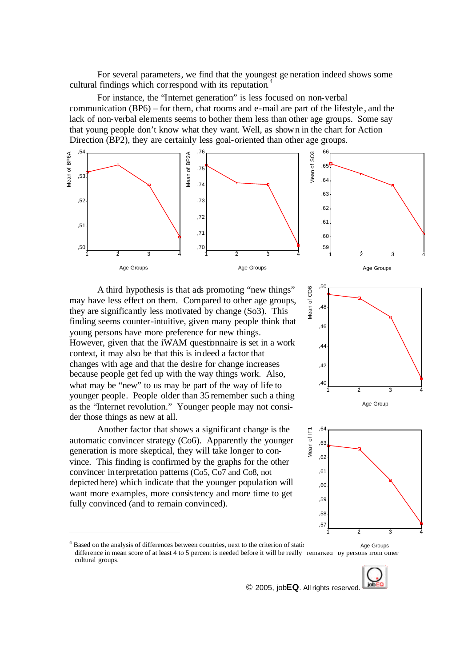For several parameters, we find that the youngest ge neration indeed shows some cultural findings which correspond with its reputation.<sup>4</sup>

For instance, the "Internet generation" is less focused on non-verbal communication (BP6) – for them, chat rooms and e-mail are part of the lifestyle , and the lack of non-verbal elements seems to bother them less than other age groups. Some say that young people don't know what they want. Well, as shown in the chart for Action Direction (BP2), they are certainly less goal-oriented than other age groups.



A third hypothesis is that ads promoting "new things" may have less effect on them. Compared to other age groups, they are significantly less motivated by change (So3). This finding seems counter-intuitive, given many people think that young persons have more preference for new things. However, given that the iWAM questionnaire is set in a work context, it may also be that this is indeed a factor that changes with age and that the desire for change increases because people get fed up with the way things work. Also, what may be "new" to us may be part of the way of life to younger people. People older than 35 remember such a thing as the "Internet revolution." Younger people may not consider those things as new at all.

Another factor that shows a significant change is the automatic convincer strategy (Co6). Apparently the younger generation is more skeptical, they will take longer to convince. This finding is confirmed by the graphs for the other convincer interpretation patterns (Co5, Co7 and Co8, not depicted here) which indicate that the younger population will want more examples, more consistency and more time to get fully convinced (and to remain convinced).

 $\overline{a}$ 





<sup>&</sup>lt;sup>4</sup> Based on the analysis of differences between countries, next to the criterion of statis same and significance, it seems that and significance, it seems that and significance, it seems that and significance, it seems th difference in mean score of at least 4 to 5 percent is needed before it will be really "remarked" by persons from other cultural groups. Age Groups



© 2005, job**EQ**. All rights reserved.